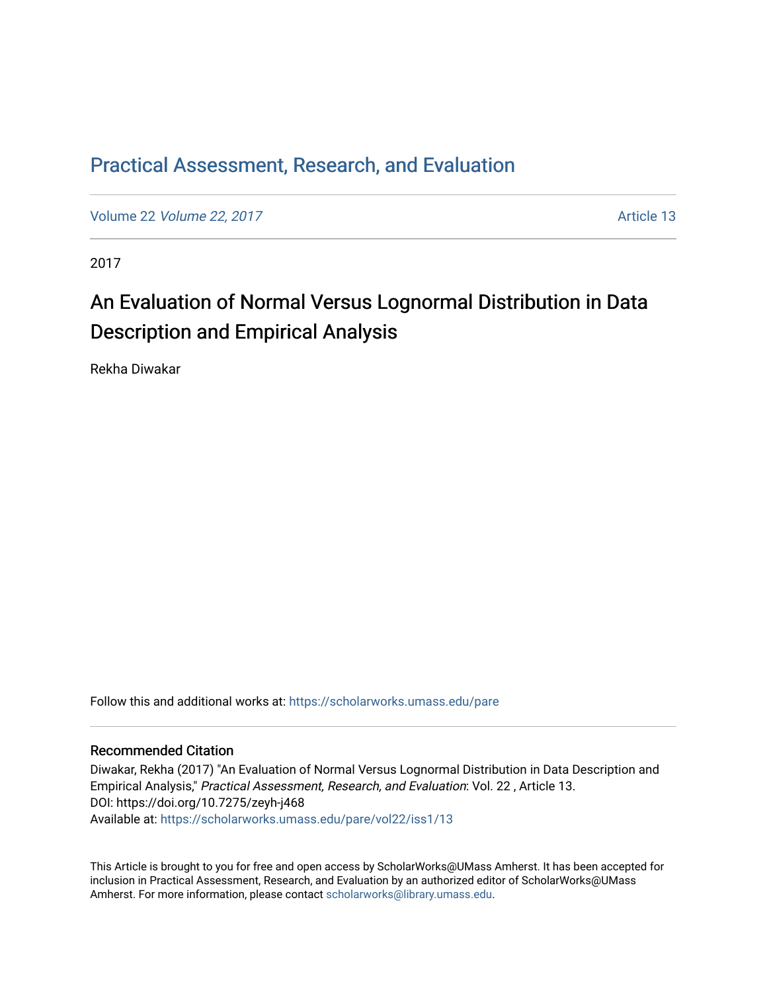# [Practical Assessment, Research, and Evaluation](https://scholarworks.umass.edu/pare)

Volume 22 [Volume 22, 2017](https://scholarworks.umass.edu/pare/vol22) and the contract of the contract of the contract of the contract of the contract of the contract of the contract of the contract of the contract of the contract of the contract of the contract of

2017

# An Evaluation of Normal Versus Lognormal Distribution in Data Description and Empirical Analysis

Rekha Diwakar

Follow this and additional works at: [https://scholarworks.umass.edu/pare](https://scholarworks.umass.edu/pare?utm_source=scholarworks.umass.edu%2Fpare%2Fvol22%2Fiss1%2F13&utm_medium=PDF&utm_campaign=PDFCoverPages) 

#### Recommended Citation

Diwakar, Rekha (2017) "An Evaluation of Normal Versus Lognormal Distribution in Data Description and Empirical Analysis," Practical Assessment, Research, and Evaluation: Vol. 22 , Article 13. DOI: https://doi.org/10.7275/zeyh-j468 Available at: [https://scholarworks.umass.edu/pare/vol22/iss1/13](https://scholarworks.umass.edu/pare/vol22/iss1/13?utm_source=scholarworks.umass.edu%2Fpare%2Fvol22%2Fiss1%2F13&utm_medium=PDF&utm_campaign=PDFCoverPages) 

This Article is brought to you for free and open access by ScholarWorks@UMass Amherst. It has been accepted for inclusion in Practical Assessment, Research, and Evaluation by an authorized editor of ScholarWorks@UMass Amherst. For more information, please contact [scholarworks@library.umass.edu](mailto:scholarworks@library.umass.edu).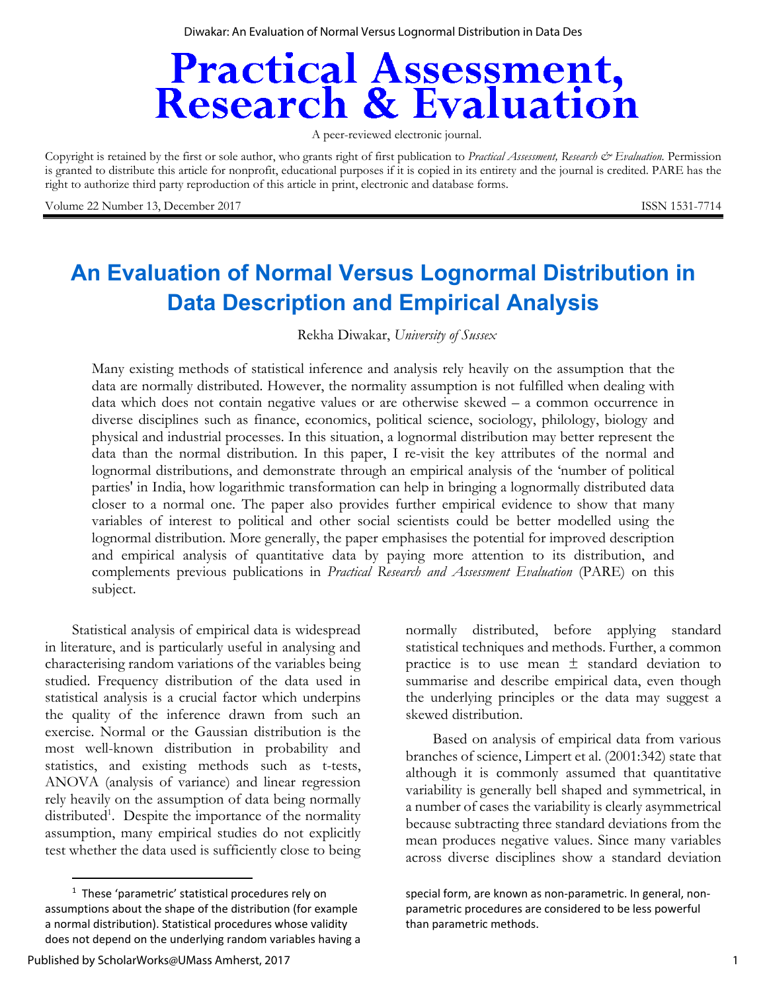Diwakar: An Evaluation of Normal Versus Lognormal Distribution in Data Des

# **Practical Assessment,<br>Research & Evaluation**

A peer-reviewed electronic journal.

Copyright is retained by the first or sole author, who grants right of first publication to *Practical Assessment*, Research & Evaluation. Permission is granted to distribute this article for nonprofit, educational purposes if it is copied in its entirety and the journal is credited. PARE has the right to authorize third party reproduction of this article in print, electronic and database forms.

Volume 22 Number 13, December 2017 **ISSN 1531-7714** 

# **An Evaluation of Normal Versus Lognormal Distribution in Data Description and Empirical Analysis**

Rekha Diwakar, *University of Sussex* 

Many existing methods of statistical inference and analysis rely heavily on the assumption that the data are normally distributed. However, the normality assumption is not fulfilled when dealing with data which does not contain negative values or are otherwise skewed – a common occurrence in diverse disciplines such as finance, economics, political science, sociology, philology, biology and physical and industrial processes. In this situation, a lognormal distribution may better represent the data than the normal distribution. In this paper, I re-visit the key attributes of the normal and lognormal distributions, and demonstrate through an empirical analysis of the 'number of political parties' in India, how logarithmic transformation can help in bringing a lognormally distributed data closer to a normal one. The paper also provides further empirical evidence to show that many variables of interest to political and other social scientists could be better modelled using the lognormal distribution. More generally, the paper emphasises the potential for improved description and empirical analysis of quantitative data by paying more attention to its distribution, and complements previous publications in *Practical Research and Assessment Evaluation* (PARE) on this subject.

Statistical analysis of empirical data is widespread in literature, and is particularly useful in analysing and characterising random variations of the variables being studied. Frequency distribution of the data used in statistical analysis is a crucial factor which underpins the quality of the inference drawn from such an exercise. Normal or the Gaussian distribution is the most well-known distribution in probability and statistics, and existing methods such as t-tests, ANOVA (analysis of variance) and linear regression rely heavily on the assumption of data being normally distributed<sup>1</sup>. Despite the importance of the normality assumption, many empirical studies do not explicitly test whether the data used is sufficiently close to being

normally distributed, before applying standard statistical techniques and methods. Further, a common practice is to use mean  $\pm$  standard deviation to summarise and describe empirical data, even though the underlying principles or the data may suggest a skewed distribution.

Based on analysis of empirical data from various branches of science, Limpert et al. (2001:342) state that although it is commonly assumed that quantitative variability is generally bell shaped and symmetrical, in a number of cases the variability is clearly asymmetrical because subtracting three standard deviations from the mean produces negative values. Since many variables across diverse disciplines show a standard deviation

<sup>&</sup>lt;sup>1</sup> These 'parametric' statistical procedures rely on assumptions about the shape of the distribution (for example a normal distribution). Statistical procedures whose validity does not depend on the underlying random variables having a

special form, are known as non-parametric. In general, nonparametric procedures are considered to be less powerful than parametric methods.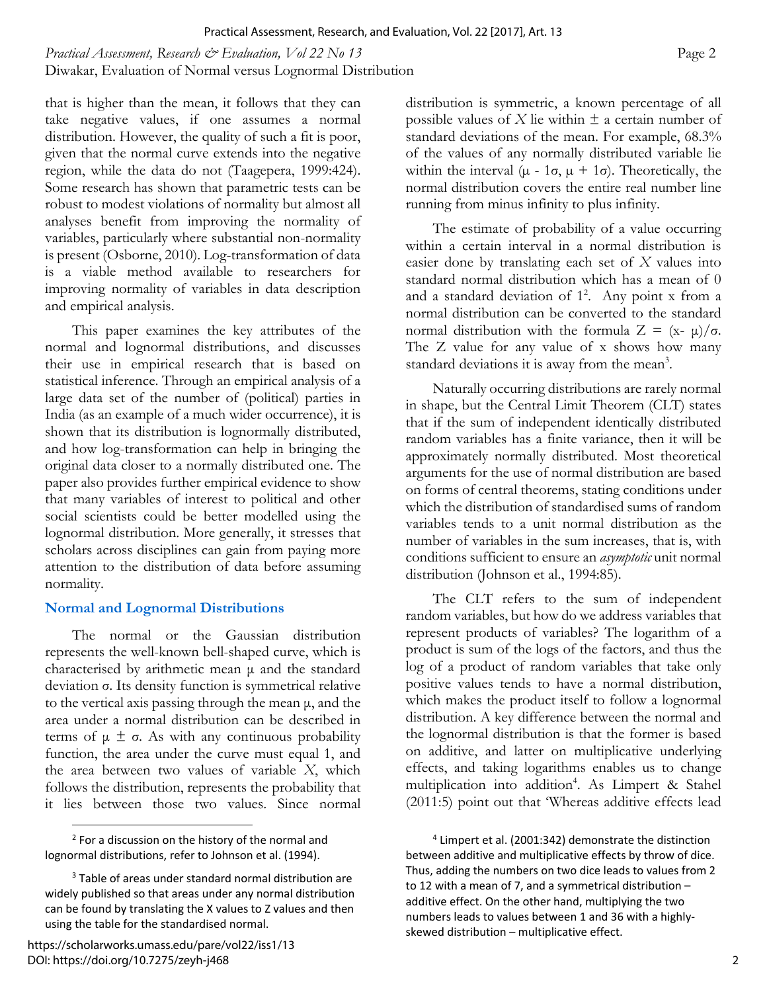*Practical Assessment, Research & Evaluation, Vol 22 No 13* **Page 2 Page 2 Page 2** Diwakar, Evaluation of Normal versus Lognormal Distribution

that is higher than the mean, it follows that they can take negative values, if one assumes a normal distribution. However, the quality of such a fit is poor, given that the normal curve extends into the negative region, while the data do not (Taagepera, 1999:424). Some research has shown that parametric tests can be robust to modest violations of normality but almost all analyses benefit from improving the normality of variables, particularly where substantial non-normality is present (Osborne, 2010). Log-transformation of data is a viable method available to researchers for improving normality of variables in data description and empirical analysis.

This paper examines the key attributes of the normal and lognormal distributions, and discusses their use in empirical research that is based on statistical inference. Through an empirical analysis of a large data set of the number of (political) parties in India (as an example of a much wider occurrence), it is shown that its distribution is lognormally distributed, and how log-transformation can help in bringing the original data closer to a normally distributed one. The paper also provides further empirical evidence to show that many variables of interest to political and other social scientists could be better modelled using the lognormal distribution. More generally, it stresses that scholars across disciplines can gain from paying more attention to the distribution of data before assuming normality.

#### **Normal and Lognormal Distributions**

The normal or the Gaussian distribution represents the well-known bell-shaped curve, which is characterised by arithmetic mean μ and the standard deviation σ. Its density function is symmetrical relative to the vertical axis passing through the mean μ, and the area under a normal distribution can be described in terms of  $\mu \pm \sigma$ . As with any continuous probability function, the area under the curve must equal 1, and the area between two values of variable *X*, which follows the distribution, represents the probability that it lies between those two values. Since normal

 $\overline{a}$ 

distribution is symmetric, a known percentage of all possible values of *X* lie within  $\pm$  a certain number of standard deviations of the mean. For example, 68.3% of the values of any normally distributed variable lie within the interval  $(\mu - 1\sigma, \mu + 1\sigma)$ . Theoretically, the normal distribution covers the entire real number line running from minus infinity to plus infinity.

The estimate of probability of a value occurring within a certain interval in a normal distribution is easier done by translating each set of *X* values into standard normal distribution which has a mean of 0 and a standard deviation of  $1^2$ . Any point x from a normal distribution can be converted to the standard normal distribution with the formula  $Z = (x - μ)/σ$ . The Z value for any value of x shows how many standard deviations it is away from the mean<sup>3</sup>.

Naturally occurring distributions are rarely normal in shape, but the Central Limit Theorem (CLT) states that if the sum of independent identically distributed random variables has a finite variance, then it will be approximately normally distributed. Most theoretical arguments for the use of normal distribution are based on forms of central theorems, stating conditions under which the distribution of standardised sums of random variables tends to a unit normal distribution as the number of variables in the sum increases, that is, with conditions sufficient to ensure an *asymptotic* unit normal distribution (Johnson et al., 1994:85).

The CLT refers to the sum of independent random variables, but how do we address variables that represent products of variables? The logarithm of a product is sum of the logs of the factors, and thus the log of a product of random variables that take only positive values tends to have a normal distribution, which makes the product itself to follow a lognormal distribution. A key difference between the normal and the lognormal distribution is that the former is based on additive, and latter on multiplicative underlying effects, and taking logarithms enables us to change multiplication into addition4 . As Limpert & Stahel (2011:5) point out that 'Whereas additive effects lead

<sup>&</sup>lt;sup>2</sup> For a discussion on the history of the normal and lognormal distributions, refer to Johnson et al. (1994).

<sup>&</sup>lt;sup>3</sup> Table of areas under standard normal distribution are widely published so that areas under any normal distribution can be found by translating the X values to Z values and then using the table for the standardised normal.

<sup>4</sup> Limpert et al. (2001:342) demonstrate the distinction between additive and multiplicative effects by throw of dice. Thus, adding the numbers on two dice leads to values from 2 to 12 with a mean of 7, and a symmetrical distribution – additive effect. On the other hand, multiplying the two numbers leads to values between 1 and 36 with a highly‐ skewed distribution – multiplicative effect.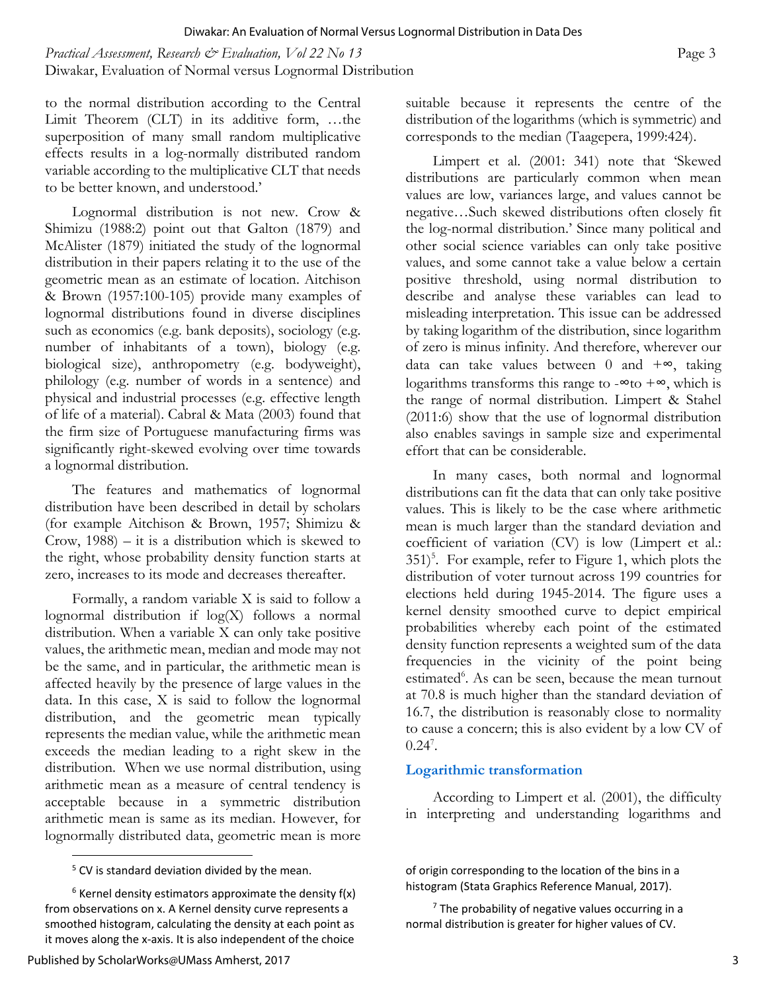*Practical Assessment, Research & Evaluation, Vol 22 No 13* **Page 3 Page 3 Page 3** Diwakar, Evaluation of Normal versus Lognormal Distribution

to the normal distribution according to the Central Limit Theorem (CLT) in its additive form, …the superposition of many small random multiplicative effects results in a log-normally distributed random variable according to the multiplicative CLT that needs to be better known, and understood.'

Lognormal distribution is not new. Crow & Shimizu (1988:2) point out that Galton (1879) and McAlister (1879) initiated the study of the lognormal distribution in their papers relating it to the use of the geometric mean as an estimate of location. Aitchison & Brown (1957:100-105) provide many examples of lognormal distributions found in diverse disciplines such as economics (e.g. bank deposits), sociology (e.g. number of inhabitants of a town), biology (e.g. biological size), anthropometry (e.g. bodyweight), philology (e.g. number of words in a sentence) and physical and industrial processes (e.g. effective length of life of a material). Cabral & Mata (2003) found that the firm size of Portuguese manufacturing firms was significantly right-skewed evolving over time towards a lognormal distribution.

The features and mathematics of lognormal distribution have been described in detail by scholars (for example Aitchison & Brown, 1957; Shimizu & Crow, 1988) – it is a distribution which is skewed to the right, whose probability density function starts at zero, increases to its mode and decreases thereafter.

Formally, a random variable X is said to follow a lognormal distribution if log(X) follows a normal distribution. When a variable X can only take positive values, the arithmetic mean, median and mode may not be the same, and in particular, the arithmetic mean is affected heavily by the presence of large values in the data. In this case, X is said to follow the lognormal distribution, and the geometric mean typically represents the median value, while the arithmetic mean exceeds the median leading to a right skew in the distribution. When we use normal distribution, using arithmetic mean as a measure of central tendency is acceptable because in a symmetric distribution arithmetic mean is same as its median. However, for lognormally distributed data, geometric mean is more suitable because it represents the centre of the distribution of the logarithms (which is symmetric) and corresponds to the median (Taagepera, 1999:424).

Limpert et al. (2001: 341) note that 'Skewed distributions are particularly common when mean values are low, variances large, and values cannot be negative…Such skewed distributions often closely fit the log-normal distribution.' Since many political and other social science variables can only take positive values, and some cannot take a value below a certain positive threshold, using normal distribution to describe and analyse these variables can lead to misleading interpretation. This issue can be addressed by taking logarithm of the distribution, since logarithm of zero is minus infinity. And therefore, wherever our data can take values between 0 and  $+\infty$ , taking logarithms transforms this range to - $\infty$  to + $\infty$ , which is the range of normal distribution. Limpert & Stahel (2011:6) show that the use of lognormal distribution also enables savings in sample size and experimental effort that can be considerable.

In many cases, both normal and lognormal distributions can fit the data that can only take positive values. This is likely to be the case where arithmetic mean is much larger than the standard deviation and coefficient of variation (CV) is low (Limpert et al.: 351)<sup>5</sup>. For example, refer to Figure 1, which plots the distribution of voter turnout across 199 countries for elections held during 1945-2014. The figure uses a kernel density smoothed curve to depict empirical probabilities whereby each point of the estimated density function represents a weighted sum of the data frequencies in the vicinity of the point being estimated<sup>6</sup>. As can be seen, because the mean turnout at 70.8 is much higher than the standard deviation of 16.7, the distribution is reasonably close to normality to cause a concern; this is also evident by a low CV of  $0.24^{7}$ .

#### **Logarithmic transformation**

According to Limpert et al. (2001), the difficulty in interpreting and understanding logarithms and

of origin corresponding to the location of the bins in a histogram (Stata Graphics Reference Manual, 2017).

 $7$  The probability of negative values occurring in a normal distribution is greater for higher values of CV.

 $5$  CV is standard deviation divided by the mean.

 $6$  Kernel density estimators approximate the density  $f(x)$ from observations on x. A Kernel density curve represents a smoothed histogram, calculating the density at each point as it moves along the x‐axis. It is also independent of the choice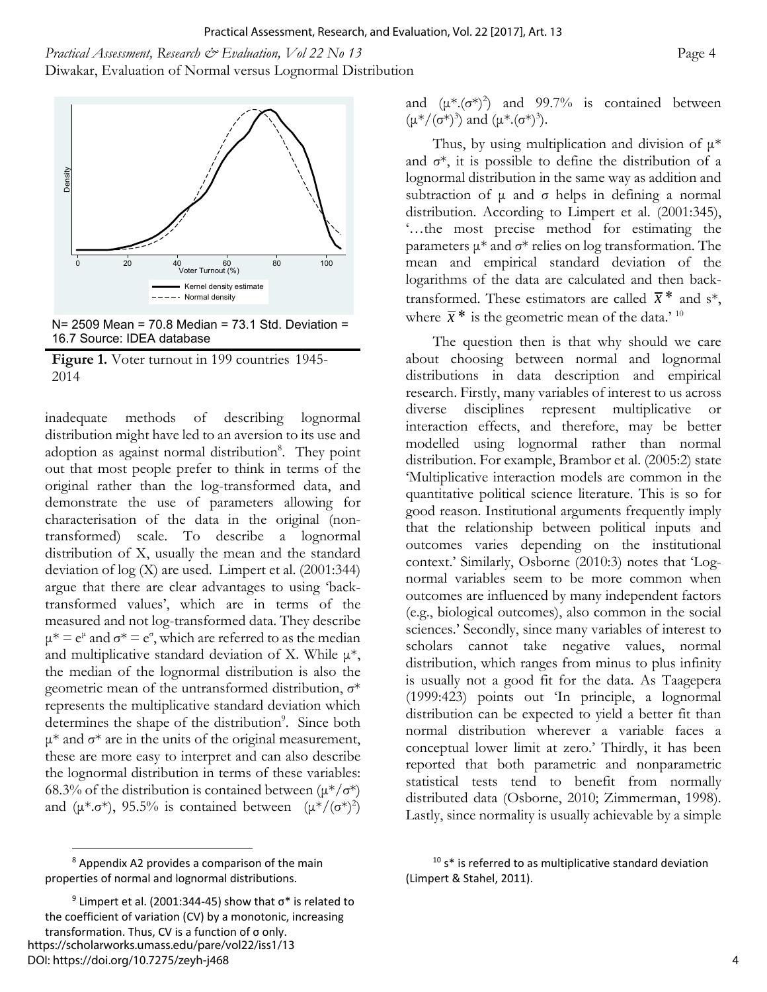*Practical Assessment, Research & Evaluation, Vol 22 No 13* **Page 4 Page 4 Page 4** Diwakar, Evaluation of Normal versus Lognormal Distribution



N= 2509 Mean = 70.8 Median = 73.1 Std. Deviation = 16.7 Source: IDEA database

**Figure 1.** Voter turnout in 199 countries 1945- 2014

inadequate methods of describing lognormal distribution might have led to an aversion to its use and adoption as against normal distribution<sup>8</sup>. They point out that most people prefer to think in terms of the original rather than the log-transformed data, and demonstrate the use of parameters allowing for characterisation of the data in the original (nontransformed) scale. To describe a lognormal distribution of X, usually the mean and the standard deviation of log (X) are used. Limpert et al. (2001:344) argue that there are clear advantages to using 'backtransformed values', which are in terms of the measured and not log-transformed data. They describe  $\mu^* = e^{\mu}$  and  $\sigma^* = e^{\sigma}$ , which are referred to as the median and multiplicative standard deviation of X. While  $\mu^*$ , the median of the lognormal distribution is also the geometric mean of the untransformed distribution, σ\* represents the multiplicative standard deviation which determines the shape of the distribution<sup>9</sup>. Since both  $μ*$  and  $σ*$  are in the units of the original measurement, these are more easy to interpret and can also describe the lognormal distribution in terms of these variables: 68.3% of the distribution is contained between  $(\mu^*/\sigma^*)$ and ( $\mu^* \cdot \sigma^*$ ), 95.5% is contained between  $(\mu^*/(\sigma^*)^2)$ 

 $\overline{a}$ 

and  $(\mu^*, (\sigma^*)^2)$  and 99.7% is contained between  $(\mu^*/(\sigma^*)^3)$  and  $(\mu^*.(\sigma^*)^3)$ .

Thus, by using multiplication and division of  $\mu^*$ and  $\sigma^*$ , it is possible to define the distribution of a lognormal distribution in the same way as addition and subtraction of  $\mu$  and  $\sigma$  helps in defining a normal distribution. According to Limpert et al. (2001:345), '…the most precise method for estimating the parameters  $\mu^*$  and  $\sigma^*$  relies on log transformation. The mean and empirical standard deviation of the logarithms of the data are calculated and then backtransformed. These estimators are called  $\bar{x}$ <sup>\*</sup> and s<sup>\*</sup>, where  $\bar{x}$ <sup>\*</sup> is the geometric mean of the data.'<sup>10</sup>

The question then is that why should we care about choosing between normal and lognormal distributions in data description and empirical research. Firstly, many variables of interest to us across diverse disciplines represent multiplicative or interaction effects, and therefore, may be better modelled using lognormal rather than normal distribution. For example, Brambor et al. (2005:2) state 'Multiplicative interaction models are common in the quantitative political science literature. This is so for good reason. Institutional arguments frequently imply that the relationship between political inputs and outcomes varies depending on the institutional context.' Similarly, Osborne (2010:3) notes that 'Lognormal variables seem to be more common when outcomes are influenced by many independent factors (e.g., biological outcomes), also common in the social sciences.' Secondly, since many variables of interest to scholars cannot take negative values, normal distribution, which ranges from minus to plus infinity is usually not a good fit for the data. As Taagepera (1999:423) points out 'In principle, a lognormal distribution can be expected to yield a better fit than normal distribution wherever a variable faces a conceptual lower limit at zero.' Thirdly, it has been reported that both parametric and nonparametric statistical tests tend to benefit from normally distributed data (Osborne, 2010; Zimmerman, 1998). Lastly, since normality is usually achievable by a simple

<sup>&</sup>lt;sup>8</sup> Appendix A2 provides a comparison of the main properties of normal and lognormal distributions.

<sup>&</sup>lt;sup>9</sup> Limpert et al. (2001:344-45) show that  $\sigma^*$  is related to the coefficient of variation (CV) by a monotonic, increasing transformation. Thus, CV is a function of σ only. https://scholarworks.umass.edu/pare/vol22/iss1/13 DOI: https://doi.org/10.7275/zeyh-j468

 $10 s*$  is referred to as multiplicative standard deviation (Limpert & Stahel, 2011).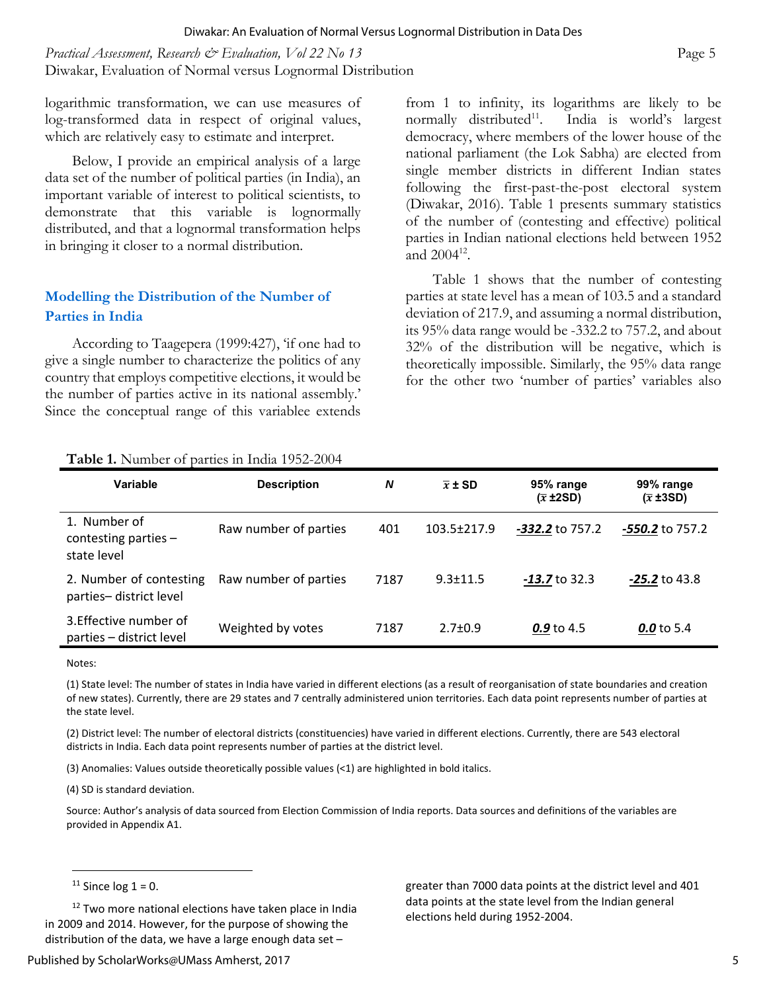*Practical Assessment, Research & Evaluation, Vol 22 No 13* **Page 5 Page 5** Diwakar, Evaluation of Normal versus Lognormal Distribution

logarithmic transformation, we can use measures of log-transformed data in respect of original values, which are relatively easy to estimate and interpret.

Below, I provide an empirical analysis of a large data set of the number of political parties (in India), an important variable of interest to political scientists, to demonstrate that this variable is lognormally distributed, and that a lognormal transformation helps in bringing it closer to a normal distribution.

#### **Modelling the Distribution of the Number of Parties in India**

According to Taagepera (1999:427), 'if one had to give a single number to characterize the politics of any country that employs competitive elections, it would be the number of parties active in its national assembly.' Since the conceptual range of this variablee extends from 1 to infinity, its logarithms are likely to be normally distributed<sup>11</sup>. India is world's largest democracy, where members of the lower house of the national parliament (the Lok Sabha) are elected from single member districts in different Indian states following the first-past-the-post electoral system (Diwakar, 2016). Table 1 presents summary statistics of the number of (contesting and effective) political parties in Indian national elections held between 1952 and  $2004^{12}$ .

Table 1 shows that the number of contesting parties at state level has a mean of 103.5 and a standard deviation of 217.9, and assuming a normal distribution, its 95% data range would be -332.2 to 757.2, and about 32% of the distribution will be negative, which is theoretically impossible. Similarly, the 95% data range for the other two 'number of parties' variables also

| Variable                                              | <b>Description</b>    | N    | $\bar{x}$ ± SD | 95% range<br>$(\overline{x} \pm 2SD)$ | 99% range<br>$(\overline{x} \pm 3SD)$ |
|-------------------------------------------------------|-----------------------|------|----------------|---------------------------------------|---------------------------------------|
| 1. Number of<br>contesting parties $-$<br>state level | Raw number of parties | 401  | 103.5±217.9    | <b>-332.2</b> to 757.2                | -550.2 to 757.2                       |
| 2. Number of contesting<br>parties-district level     | Raw number of parties | 7187 | $9.3 + 11.5$   | $-13.7$ to 32.3                       | $-25.2$ to 43.8                       |
| 3. Effective number of<br>parties - district level    | Weighted by votes     | 7187 | $2.7 \pm 0.9$  | 0.9 to 4.5                            | 0.0 to 5.4                            |

Notes:

(1) State level: The number of states in India have varied in different elections (as a result of reorganisation of state boundaries and creation of new states). Currently, there are 29 states and 7 centrally administered union territories. Each data point represents number of parties at the state level.

(2) District level: The number of electoral districts (constituencies) have varied in different elections. Currently, there are 543 electoral districts in India. Each data point represents number of parties at the district level.

(3) Anomalies: Values outside theoretically possible values (<1) are highlighted in bold italics.

(4) SD is standard deviation.

Source: Author's analysis of data sourced from Election Commission of India reports. Data sources and definitions of the variables are provided in Appendix A1.

 $\overline{a}$ 

<sup>12</sup> Two more national elections have taken place in India in 2009 and 2014. However, for the purpose of showing the distribution of the data, we have a large enough data set –

greater than 7000 data points at the district level and 401 data points at the state level from the Indian general elections held during 1952‐2004.

 $11$  Since log  $1 = 0$ .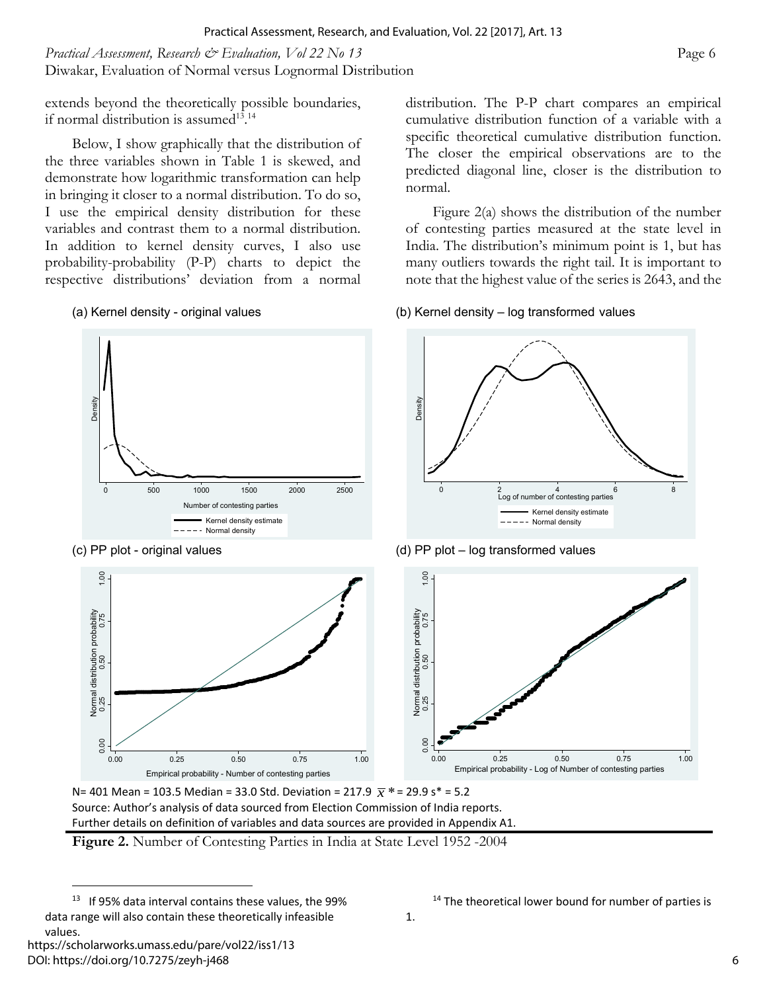*Practical Assessment, Research & Evaluation, Vol 22 No 13* **Page 6 Page 6** Diwakar, Evaluation of Normal versus Lognormal Distribution

extends beyond the theoretically possible boundaries, if normal distribution is assumed<sup>13.14</sup>

Below, I show graphically that the distribution of the three variables shown in Table 1 is skewed, and demonstrate how logarithmic transformation can help in bringing it closer to a normal distribution. To do so, I use the empirical density distribution for these variables and contrast them to a normal distribution. In addition to kernel density curves, I also use probability-probability (P-P) charts to depict the respective distributions' deviation from a normal

distribution. The P-P chart compares an empirical cumulative distribution function of a variable with a specific theoretical cumulative distribution function. The closer the empirical observations are to the predicted diagonal line, closer is the distribution to normal.

Figure 2(a) shows the distribution of the number of contesting parties measured at the state level in India. The distribution's minimum point is 1, but has many outliers towards the right tail. It is important to note that the highest value of the series is 2643, and the

#### (a) Kernel density - original values (b) Kernel density – log transformed values



N= 401 Mean = 103.5 Median = 33.0 Std. Deviation = 217.9 *x* \*= 29.9 s\* = 5.2 Source: Author's analysis of data sourced from Election Commission of India reports. Further details on definition of variables and data sources are provided in Appendix A1.

<sup>&</sup>lt;sup>13</sup> If 95% data interval contains these values, the 99% data range will also contain these theoretically infeasible values.

 $14$  The theoretical lower bound for number of parties is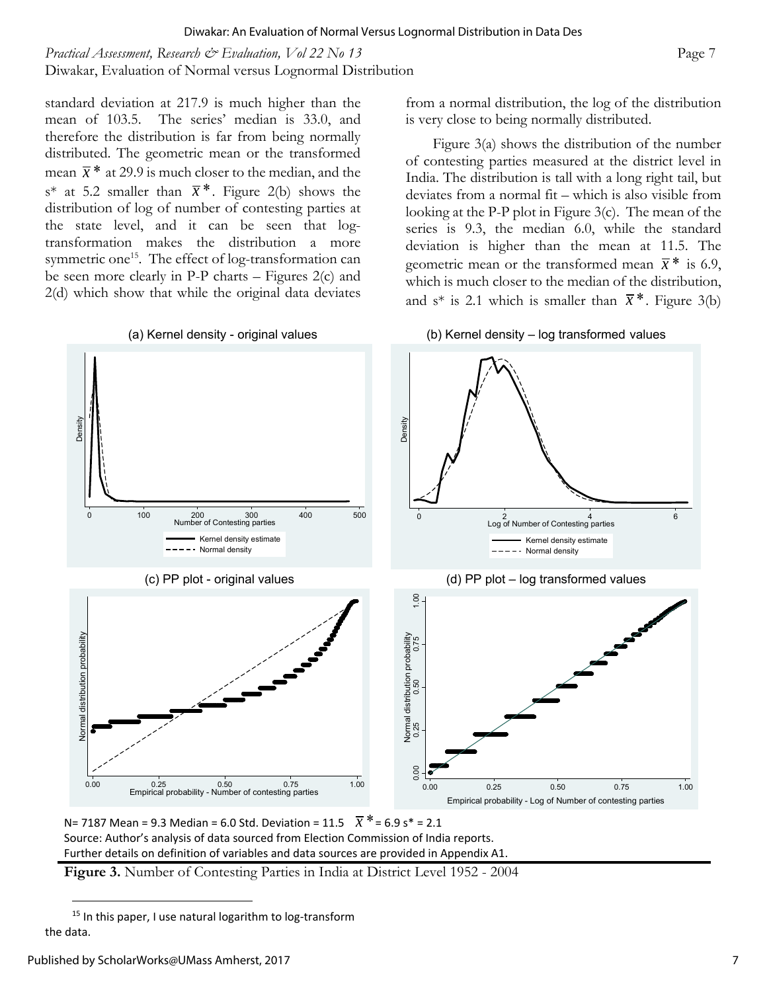*Practical Assessment, Research & Evaluation, Vol 22 No 13* Page 7 Diwakar, Evaluation of Normal versus Lognormal Distribution

standard deviation at 217.9 is much higher than the mean of 103.5. The series' median is 33.0, and therefore the distribution is far from being normally distributed. The geometric mean or the transformed mean  $\bar{x}$ <sup>\*</sup> at 29.9 is much closer to the median, and the s\* at 5.2 smaller than  $\bar{x}$  \*. Figure 2(b) shows the distribution of log of number of contesting parties at the state level, and it can be seen that logtransformation makes the distribution a more symmetric one<sup>15</sup>. The effect of log-transformation can be seen more clearly in P-P charts – Figures 2(c) and 2(d) which show that while the original data deviates from a normal distribution, the log of the distribution is very close to being normally distributed.

Figure 3(a) shows the distribution of the number of contesting parties measured at the district level in India. The distribution is tall with a long right tail, but deviates from a normal fit – which is also visible from looking at the P-P plot in Figure 3(c). The mean of the series is 9.3, the median 6.0, while the standard deviation is higher than the mean at 11.5. The geometric mean or the transformed mean  $\bar{x}$ <sup>\*</sup> is 6.9, which is much closer to the median of the distribution, and s<sup>\*</sup> is 2.1 which is smaller than  $\bar{x}$ <sup>\*</sup>. Figure 3(b)



N= 7187 Mean = 9.3 Median = 6.0 Std. Deviation = 11.5  $\bar{x}$  \* = 6.9 s \* = 2.1 Source: Author's analysis of data sourced from Election Commission of India reports. Further details on definition of variables and data sources are provided in Appendix A1.

 $15$  In this paper, I use natural logarithm to log-transform the data.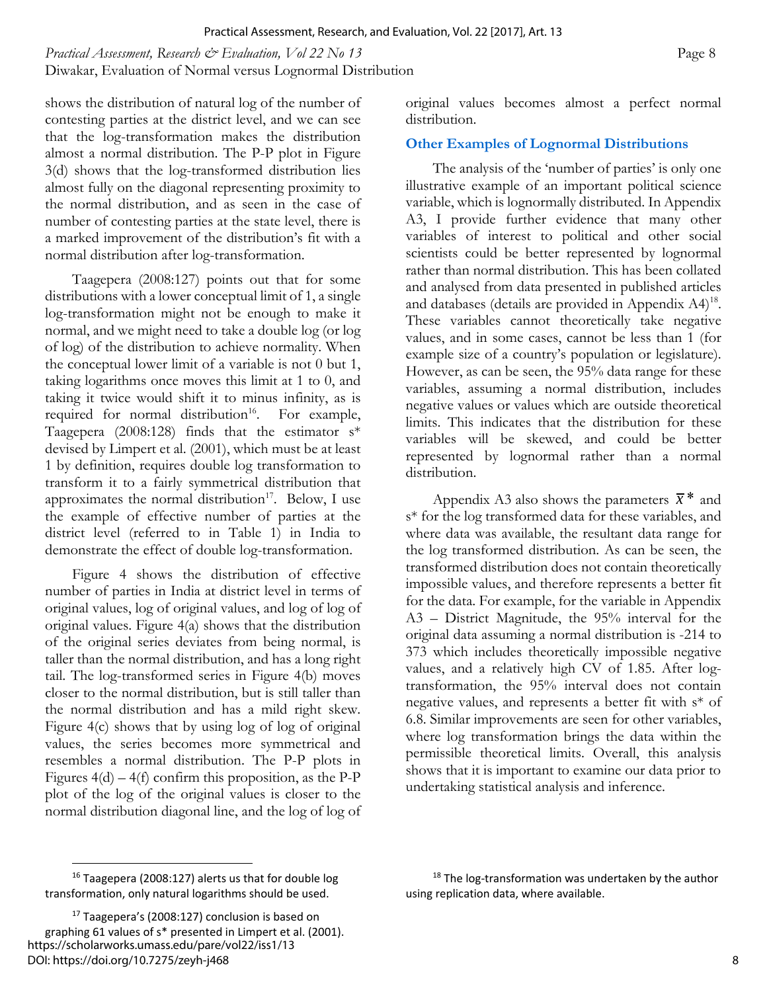*Practical Assessment, Research & Evaluation, Vol 22 No 13* **Page 8 Page 8** Diwakar, Evaluation of Normal versus Lognormal Distribution

shows the distribution of natural log of the number of contesting parties at the district level, and we can see that the log-transformation makes the distribution almost a normal distribution. The P-P plot in Figure 3(d) shows that the log-transformed distribution lies almost fully on the diagonal representing proximity to the normal distribution, and as seen in the case of number of contesting parties at the state level, there is a marked improvement of the distribution's fit with a normal distribution after log-transformation.

Taagepera (2008:127) points out that for some distributions with a lower conceptual limit of 1, a single log-transformation might not be enough to make it normal, and we might need to take a double log (or log of log) of the distribution to achieve normality. When the conceptual lower limit of a variable is not 0 but 1, taking logarithms once moves this limit at 1 to 0, and taking it twice would shift it to minus infinity, as is required for normal distribution<sup>16</sup>. For example, Taagepera (2008:128) finds that the estimator  $s^*$ devised by Limpert et al. (2001), which must be at least 1 by definition, requires double log transformation to transform it to a fairly symmetrical distribution that approximates the normal distribution $17$ . Below, I use the example of effective number of parties at the district level (referred to in Table 1) in India to demonstrate the effect of double log-transformation.

Figure 4 shows the distribution of effective number of parties in India at district level in terms of original values, log of original values, and log of log of original values. Figure 4(a) shows that the distribution of the original series deviates from being normal, is taller than the normal distribution, and has a long right tail. The log-transformed series in Figure 4(b) moves closer to the normal distribution, but is still taller than the normal distribution and has a mild right skew. Figure 4(c) shows that by using log of log of original values, the series becomes more symmetrical and resembles a normal distribution. The P-P plots in Figures  $4(d) - 4(f)$  confirm this proposition, as the P-P plot of the log of the original values is closer to the normal distribution diagonal line, and the log of log of original values becomes almost a perfect normal distribution.

#### **Other Examples of Lognormal Distributions**

The analysis of the 'number of parties' is only one illustrative example of an important political science variable, which is lognormally distributed. In Appendix A3, I provide further evidence that many other variables of interest to political and other social scientists could be better represented by lognormal rather than normal distribution. This has been collated and analysed from data presented in published articles and databases (details are provided in Appendix A4)<sup>18</sup>. These variables cannot theoretically take negative values, and in some cases, cannot be less than 1 (for example size of a country's population or legislature). However, as can be seen, the 95% data range for these variables, assuming a normal distribution, includes negative values or values which are outside theoretical limits. This indicates that the distribution for these variables will be skewed, and could be better represented by lognormal rather than a normal distribution.

Appendix A3 also shows the parameters  $\bar{x}$ <sup>\*</sup> and s\* for the log transformed data for these variables, and where data was available, the resultant data range for the log transformed distribution. As can be seen, the transformed distribution does not contain theoretically impossible values, and therefore represents a better fit for the data. For example, for the variable in Appendix A3 – District Magnitude, the 95% interval for the original data assuming a normal distribution is -214 to 373 which includes theoretically impossible negative values, and a relatively high CV of 1.85. After logtransformation, the 95% interval does not contain negative values, and represents a better fit with s\* of 6.8. Similar improvements are seen for other variables, where log transformation brings the data within the permissible theoretical limits. Overall, this analysis shows that it is important to examine our data prior to undertaking statistical analysis and inference.

<sup>16</sup> Taagepera (2008:127) alerts us that for double log transformation, only natural logarithms should be used.

<sup>&</sup>lt;sup>17</sup> Taagepera's (2008:127) conclusion is based on graphing 61 values of s\* presented in Limpert et al. (2001). https://scholarworks.umass.edu/pare/vol22/iss1/13 DOI: https://doi.org/10.7275/zeyh-j468

 $18$  The log-transformation was undertaken by the author using replication data, where available.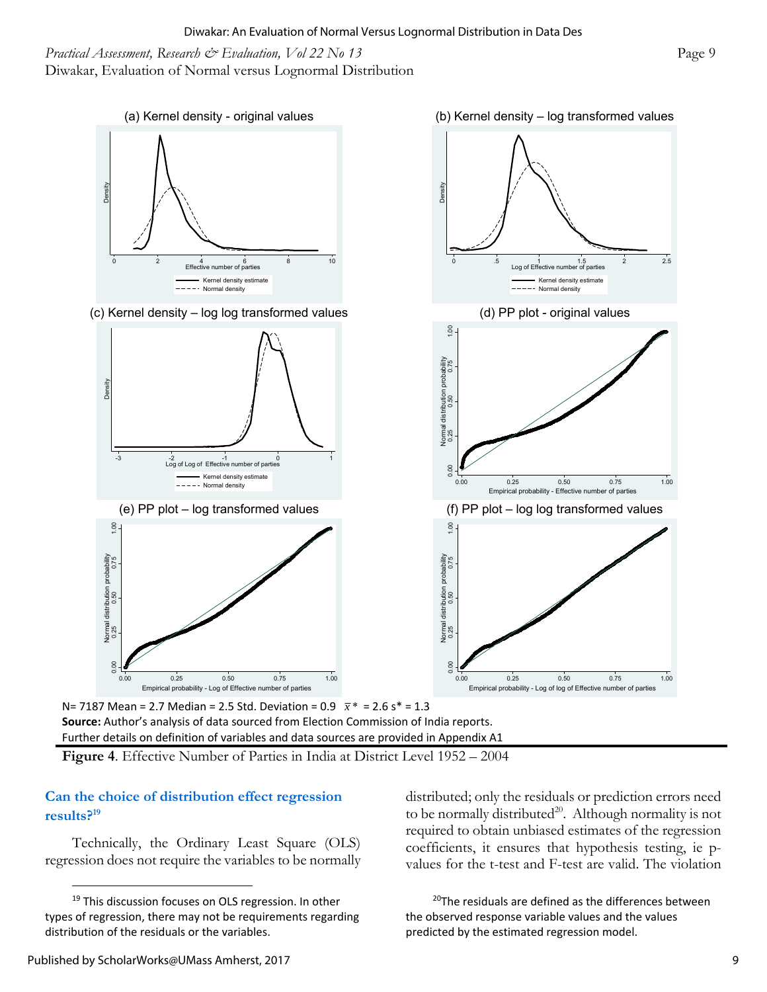*Practical Assessment, Research & Evaluation, Vol 22 No 13* **Page 9 Page 9 Page 9** Diwakar, Evaluation of Normal versus Lognormal Distribution



N= 7187 Mean = 2.7 Median = 2.5 Std. Deviation = 0.9 *x* \* = 2.6 s\* = 1.3

**Source:** Author's analysis of data sourced from Election Commission of India reports. Further details on definition of variables and data sources are provided in Appendix A1

#### **Can the choice of distribution effect regression results?19**

Technically, the Ordinary Least Square (OLS) regression does not require the variables to be normally distributed; only the residuals or prediction errors need to be normally distributed<sup>20</sup>. Although normality is not required to obtain unbiased estimates of the regression coefficients, it ensures that hypothesis testing, ie pvalues for the t-test and F-test are valid. The violation

 $20$ The residuals are defined as the differences between the observed response variable values and the values predicted by the estimated regression model.

<sup>&</sup>lt;sup>19</sup> This discussion focuses on OLS regression. In other types of regression, there may not be requirements regarding distribution of the residuals or the variables.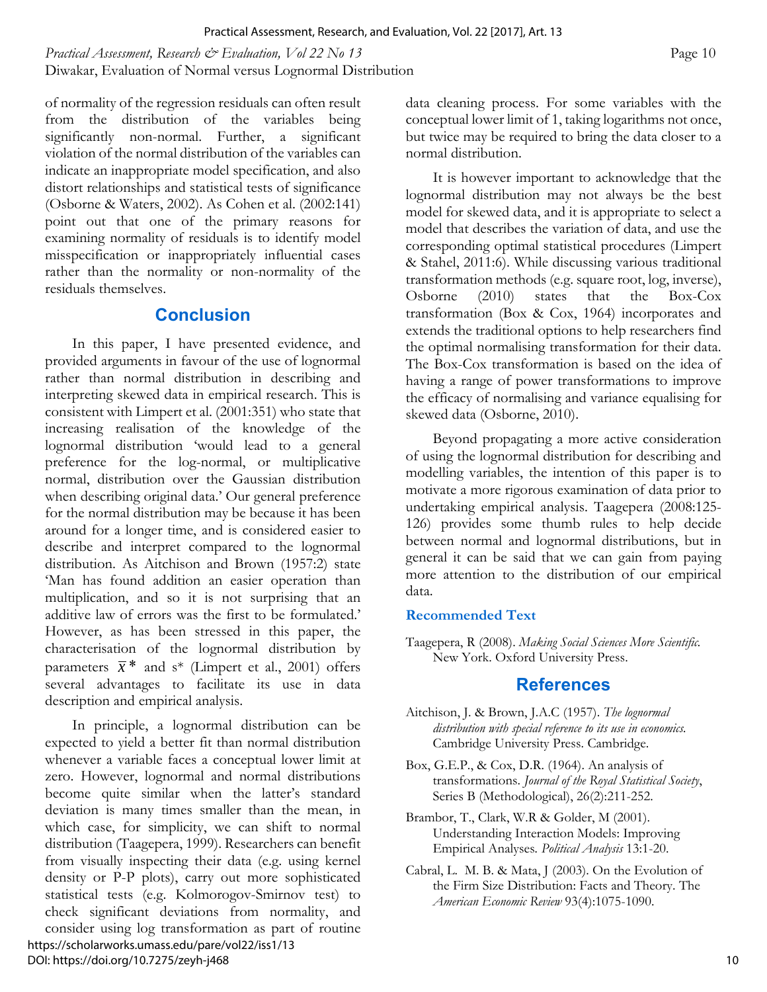*Practical Assessment, Research & Evaluation, Vol 22 No 13* **Page 10 Page 10 Page 10** Diwakar, Evaluation of Normal versus Lognormal Distribution

of normality of the regression residuals can often result from the distribution of the variables being significantly non-normal. Further, a significant violation of the normal distribution of the variables can indicate an inappropriate model specification, and also distort relationships and statistical tests of significance (Osborne & Waters, 2002). As Cohen et al. (2002:141) point out that one of the primary reasons for examining normality of residuals is to identify model misspecification or inappropriately influential cases rather than the normality or non-normality of the residuals themselves.

#### **Conclusion**

In this paper, I have presented evidence, and provided arguments in favour of the use of lognormal rather than normal distribution in describing and interpreting skewed data in empirical research. This is consistent with Limpert et al. (2001:351) who state that increasing realisation of the knowledge of the lognormal distribution 'would lead to a general preference for the log-normal, or multiplicative normal, distribution over the Gaussian distribution when describing original data.' Our general preference for the normal distribution may be because it has been around for a longer time, and is considered easier to describe and interpret compared to the lognormal distribution. As Aitchison and Brown (1957:2) state 'Man has found addition an easier operation than multiplication, and so it is not surprising that an additive law of errors was the first to be formulated.' However, as has been stressed in this paper, the characterisation of the lognormal distribution by parameters  $\bar{x}$ <sup>\*</sup> and s<sup>\*</sup> (Limpert et al., 2001) offers several advantages to facilitate its use in data description and empirical analysis.

In principle, a lognormal distribution can be expected to yield a better fit than normal distribution whenever a variable faces a conceptual lower limit at zero. However, lognormal and normal distributions become quite similar when the latter's standard deviation is many times smaller than the mean, in which case, for simplicity, we can shift to normal distribution (Taagepera, 1999). Researchers can benefit from visually inspecting their data (e.g. using kernel density or P-P plots), carry out more sophisticated statistical tests (e.g. Kolmorogov-Smirnov test) to check significant deviations from normality, and consider using log transformation as part of routine https://scholarworks.umass.edu/pare/vol22/iss1/13 DOI: https://doi.org/10.7275/zeyh-j468

data cleaning process. For some variables with the conceptual lower limit of 1, taking logarithms not once, but twice may be required to bring the data closer to a normal distribution.

It is however important to acknowledge that the lognormal distribution may not always be the best model for skewed data, and it is appropriate to select a model that describes the variation of data, and use the corresponding optimal statistical procedures (Limpert & Stahel, 2011:6). While discussing various traditional transformation methods (e.g. square root, log, inverse), Osborne (2010) states that the Box-Cox transformation (Box & Cox, 1964) incorporates and extends the traditional options to help researchers find the optimal normalising transformation for their data. The Box-Cox transformation is based on the idea of having a range of power transformations to improve the efficacy of normalising and variance equalising for skewed data (Osborne, 2010).

Beyond propagating a more active consideration of using the lognormal distribution for describing and modelling variables, the intention of this paper is to motivate a more rigorous examination of data prior to undertaking empirical analysis. Taagepera (2008:125- 126) provides some thumb rules to help decide between normal and lognormal distributions, but in general it can be said that we can gain from paying more attention to the distribution of our empirical data.

#### **Recommended Text**

Taagepera, R (2008). *Making Social Sciences More Scientific.* New York. Oxford University Press.

#### **References**

- Aitchison, J. & Brown, J.A.C (1957). *The lognormal distribution with special reference to its use in economics.*  Cambridge University Press. Cambridge.
- Box, G.E.P., & Cox, D.R. (1964). An analysis of transformations. *Journal of the Royal Statistical Society*, Series B (Methodological), 26(2):211-252.
- Brambor, T., Clark, W.R & Golder, M (2001). Understanding Interaction Models: Improving Empirical Analyses*. Political Analysis* 13:1-20.
- Cabral, L. M. B. & Mata, J (2003). On the Evolution of the Firm Size Distribution: Facts and Theory. The *American Economic Review* 93(4):1075-1090.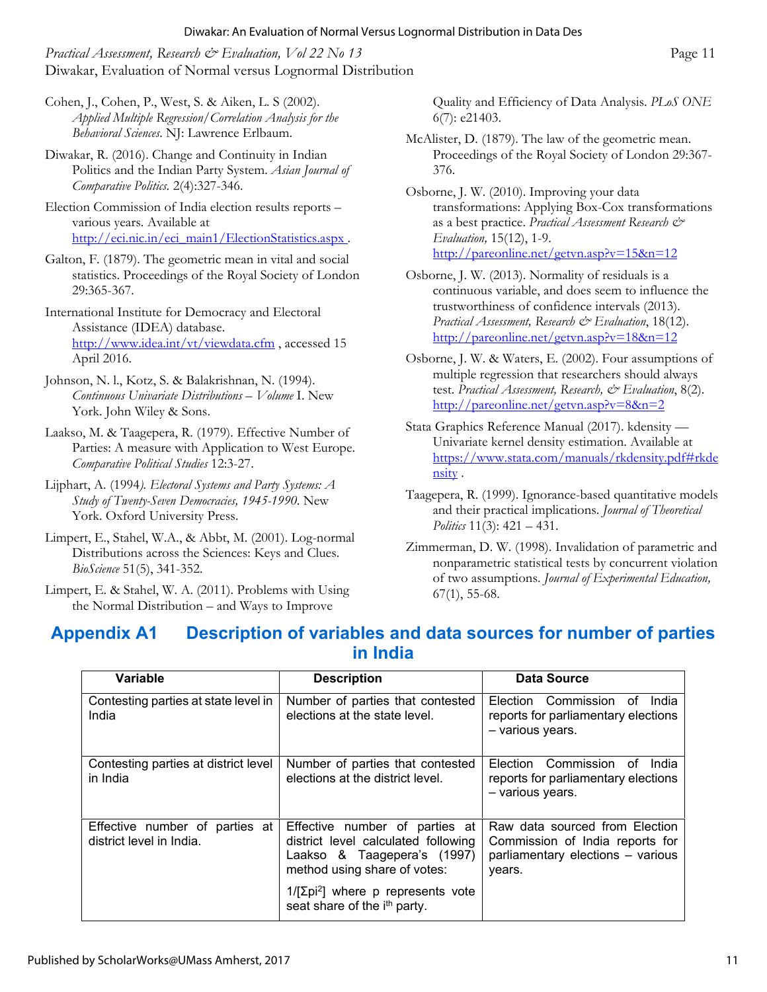*Practical Assessment, Research & Evaluation, Vol 22 No 13* **Page 11 Page 11** Diwakar, Evaluation of Normal versus Lognormal Distribution

- Cohen, J., Cohen, P., West, S. & Aiken, L. S (2002). *Applied Multiple Regression/Correlation Analysis for the Behavioral Sciences*. NJ: Lawrence Erlbaum.
- Diwakar, R. (2016). Change and Continuity in Indian Politics and the Indian Party System. *Asian Journal of Comparative Politics.* 2(4):327-346.
- Election Commission of India election results reports various years. Available at http://eci.nic.in/eci\_main1/ElectionStatistics.aspx.
- Galton, F. (1879). The geometric mean in vital and social statistics. Proceedings of the Royal Society of London 29:365-367.
- International Institute for Democracy and Electoral Assistance (IDEA) database. http://www.idea.int/vt/viewdata.cfm , accessed 15 April 2016.
- Johnson, N. l., Kotz, S. & Balakrishnan, N. (1994). *Continuous Univariate Distributions – Volume* I. New York. John Wiley & Sons.
- Laakso, M. & Taagepera, R. (1979). Effective Number of Parties: A measure with Application to West Europe. *Comparative Political Studies* 12:3-27.
- Lijphart, A. (1994*). Electoral Systems and Party Systems: A Study of Twenty-Seven Democracies, 1945-1990*. New York. Oxford University Press.
- Limpert, E., Stahel, W.A., & Abbt, M. (2001). Log-normal Distributions across the Sciences: Keys and Clues. *BioScience* 51(5), 341-352.
- Limpert, E. & Stahel, W. A. (2011). Problems with Using the Normal Distribution – and Ways to Improve

Quality and Efficiency of Data Analysis. *PLoS ONE* 6(7): e21403.

- McAlister, D. (1879). The law of the geometric mean. Proceedings of the Royal Society of London 29:367- 376.
- Osborne, J. W. (2010). Improving your data transformations: Applying Box-Cox transformations as a best practice. *Practical Assessment Research & Evaluation,* 15(12), 1-9. http://pareonline.net/getvn.asp?v=15&n=12
- Osborne, J. W. (2013). Normality of residuals is a continuous variable, and does seem to influence the trustworthiness of confidence intervals (2013). *Practical Assessment, Research & Evaluation*, 18(12). http://pareonline.net/getvn.asp?v=18&n=12
- Osborne, J. W. & Waters, E. (2002). Four assumptions of multiple regression that researchers should always test. *Practical Assessment, Research, & Evaluation*, 8(2). http://pareonline.net/getvn.asp?v=8&n=2
- Stata Graphics Reference Manual (2017). kdensity Univariate kernel density estimation. Available at https://www.stata.com/manuals/rkdensity.pdf#rkde nsity .
- Taagepera, R. (1999). Ignorance-based quantitative models and their practical implications. *Journal of Theoretical Politics* 11(3): 421 – 431.
- Zimmerman, D. W. (1998). Invalidation of parametric and nonparametric statistical tests by concurrent violation of two assumptions. *Journal of Experimental Education,* 67(1), 55-68.

## **Appendix A1 Description of variables and data sources for number of parties in India**

| Variable                                                   | <b>Description</b>                                                                                                                   | Data Source                                                                                                      |
|------------------------------------------------------------|--------------------------------------------------------------------------------------------------------------------------------------|------------------------------------------------------------------------------------------------------------------|
| Contesting parties at state level in<br>India              | Number of parties that contested<br>elections at the state level.                                                                    | Commission<br>Election<br>India<br>οf<br>reports for parliamentary elections<br>- various years.                 |
| Contesting parties at district level<br>in India           | Number of parties that contested<br>elections at the district level.                                                                 | Commission<br>Election<br>οf<br>India<br>reports for parliamentary elections<br>- various years.                 |
| Effective number of parties at<br>district level in India. | Effective number of parties at<br>district level calculated following<br>Laakso & Taagepera's (1997)<br>method using share of votes: | Raw data sourced from Election<br>Commission of India reports for<br>parliamentary elections - various<br>years. |
|                                                            | $1/[\Sigma$ pi <sup>2</sup> ] where p represents vote<br>seat share of the i <sup>th</sup> party.                                    |                                                                                                                  |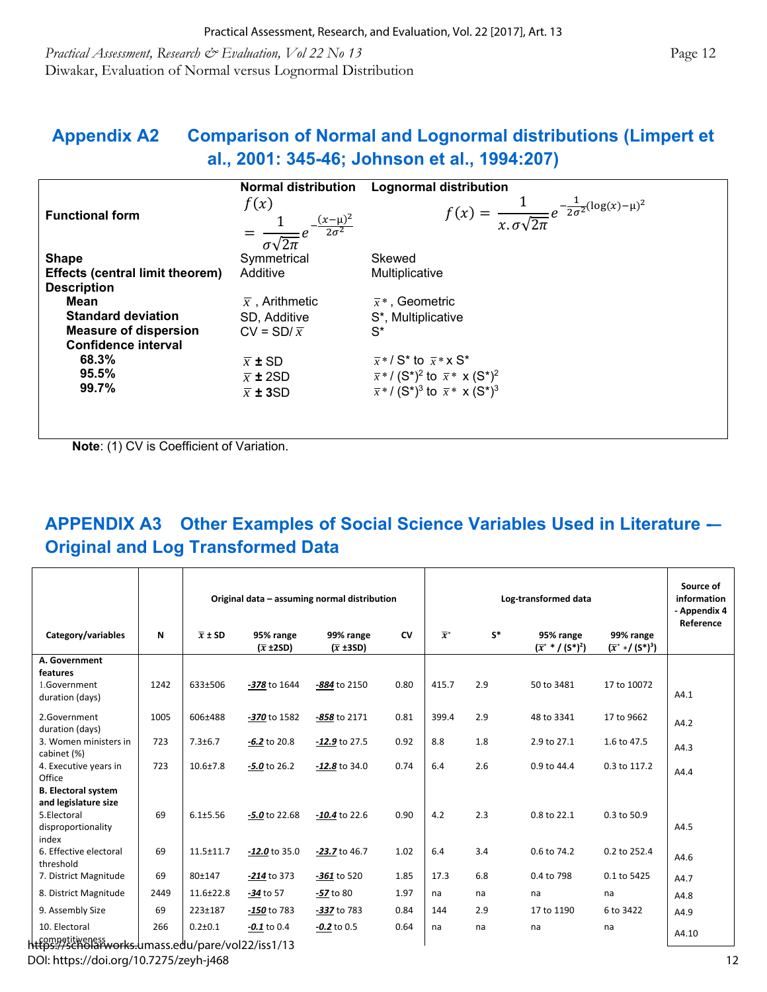*Practical Assessment, Research & Evaluation, Vol 22 No 13* **Page 12 Page 12 Page 12** Diwakar, Evaluation of Normal versus Lognormal Distribution

## **Appendix A2 Comparison of Normal and Lognormal distributions (Limpert et al., 2001: 345-46; Johnson et al., 1994:207)**

|                                        | <b>Normal distribution</b>                                              | <b>Lognormal distribution</b>                                                                |
|----------------------------------------|-------------------------------------------------------------------------|----------------------------------------------------------------------------------------------|
| <b>Functional form</b>                 | f(x)<br>$= \frac{1}{\sigma\sqrt{2\pi}}e^{-\frac{(x-\mu)^2}{2\sigma^2}}$ | $f(x) = \frac{1}{x.\sigma\sqrt{2\pi}}e^{-\frac{1}{2\sigma^2}(\log(x)-\mu)^2}$                |
| <b>Shape</b>                           | Symmetrical                                                             | Skewed                                                                                       |
| <b>Effects (central limit theorem)</b> | Additive                                                                | Multiplicative                                                                               |
| <b>Description</b>                     |                                                                         |                                                                                              |
| Mean                                   | $\bar{x}$ , Arithmetic                                                  | $\bar{x}^*$ , Geometric                                                                      |
| <b>Standard deviation</b>              | SD, Additive                                                            | S*, Multiplicative                                                                           |
| <b>Measure of dispersion</b>           | $CV = SD/\bar{x}$                                                       | $S^*$                                                                                        |
| <b>Confidence interval</b>             |                                                                         |                                                                                              |
| 68.3%                                  | $\overline{x}$ ± SD                                                     | $\overline{x}$ * / S <sup>*</sup> to $\overline{x}$ * x S <sup>*</sup>                       |
| 95.5%                                  | $\bar{x}$ ± 2SD                                                         | $\bar{x}$ * / (S <sup>*</sup> ) <sup>2</sup> to $\bar{x}$ * x (S <sup>*</sup> ) <sup>2</sup> |
| 99.7%                                  | $\overline{x}$ ± 3SD                                                    | $\bar{x}$ */(S <sup>*</sup> ) <sup>3</sup> to $\bar{x}$ * x(S <sup>*</sup> ) <sup>3</sup>    |
|                                        |                                                                         |                                                                                              |
|                                        |                                                                         |                                                                                              |
|                                        |                                                                         |                                                                                              |

**Note**: (1) CV is Coefficient of Variation.

# **APPENDIX A3 Other Examples of Social Science Variables Used in Literature -– Original and Log Transformed Data**

|                                             |      | Original data - assuming normal distribution |                                       |                                       |           |                  | Source of<br>information<br>- Appendix 4<br>Reference |                                                   |                                     |       |
|---------------------------------------------|------|----------------------------------------------|---------------------------------------|---------------------------------------|-----------|------------------|-------------------------------------------------------|---------------------------------------------------|-------------------------------------|-------|
| Category/variables                          | N    | $\overline{x}$ ± SD                          | 95% range<br>$(\overline{x} \pm 2SD)$ | 99% range<br>$(\overline{x} \pm 3SD)$ | <b>CV</b> | $\overline{x}^*$ | $S^*$                                                 | 95% range<br>$(\bar{x}^*$ * / (S*) <sup>2</sup> ) | 99% range<br>$(\bar{x}^**/(S^*)^3)$ |       |
| A. Government                               |      |                                              |                                       |                                       |           |                  |                                                       |                                                   |                                     |       |
| features<br>1.Government<br>duration (days) | 1242 | 633±506                                      | -378 to 1644                          | -884 to 2150                          | 0.80      | 415.7            | 2.9                                                   | 50 to 3481                                        | 17 to 10072                         | A4.1  |
| 2.Government<br>duration (days)             | 1005 | 606±488                                      | -370 to 1582                          | -858 to 2171                          | 0.81      | 399.4            | 2.9                                                   | 48 to 3341                                        | 17 to 9662                          | A4.2  |
| 3. Women ministers in<br>cabinet (%)        | 723  | $7.3 \pm 6.7$                                | $-6.2$ to 20.8                        | $-12.9$ to 27.5                       | 0.92      | 8.8              | 1.8                                                   | 2.9 to 27.1                                       | 1.6 to 47.5                         | A4.3  |
| 4. Executive years in<br>Office             | 723  | $10.6 + 7.8$                                 | $-5.0$ to 26.2                        | $-12.8$ to 34.0                       | 0.74      | 6.4              | 2.6                                                   | 0.9 to 44.4                                       | 0.3 to 117.2                        | A4.4  |
| <b>B. Electoral system</b>                  |      |                                              |                                       |                                       |           |                  |                                                       |                                                   |                                     |       |
| and legislature size<br>5.Electoral         | 69   | $6.1 \pm 5.56$                               | $-5.0$ to 22.68                       | $-10.4$ to 22.6                       | 0.90      | 4.2              | 2.3                                                   | 0.8 to 22.1                                       | 0.3 to 50.9                         |       |
| disproportionality<br>index                 |      |                                              |                                       |                                       |           |                  |                                                       |                                                   |                                     | A4.5  |
| 6. Effective electoral<br>threshold         | 69   | $11.5 \pm 11.7$                              | $-12.0$ to 35.0                       | $-23.7$ to 46.7                       | 1.02      | 6.4              | 3.4                                                   | 0.6 to 74.2                                       | 0.2 to 252.4                        | A4.6  |
| 7. District Magnitude                       | 69   | 80±147                                       | $-214$ to 373                         | -361 to 520                           | 1.85      | 17.3             | 6.8                                                   | 0.4 to 798                                        | 0.1 to 5425                         | A4.7  |
| 8. District Magnitude                       | 2449 | $11.6 \pm 22.8$                              | $-34$ to 57                           | -57 to 80                             | 1.97      | na               | na                                                    | na                                                | na                                  | A4.8  |
| 9. Assembly Size                            | 69   | 223±187                                      | $-150$ to 783                         | -337 to 783                           | 0.84      | 144              | 2.9                                                   | 17 to 1190                                        | 6 to 3422                           | A4.9  |
| 10. Electoral                               | 266  | $0.2 + 0.1$                                  | $-0.1$ to 0.4                         | $-0.2$ to 0.5                         | 0.64      | na               | na                                                    | na                                                | na                                  | A4.10 |

competitiveness https://scholarworks.umass.edu/pare/vol22/iss1/13

DOI: https://doi.org/10.7275/zeyh-j468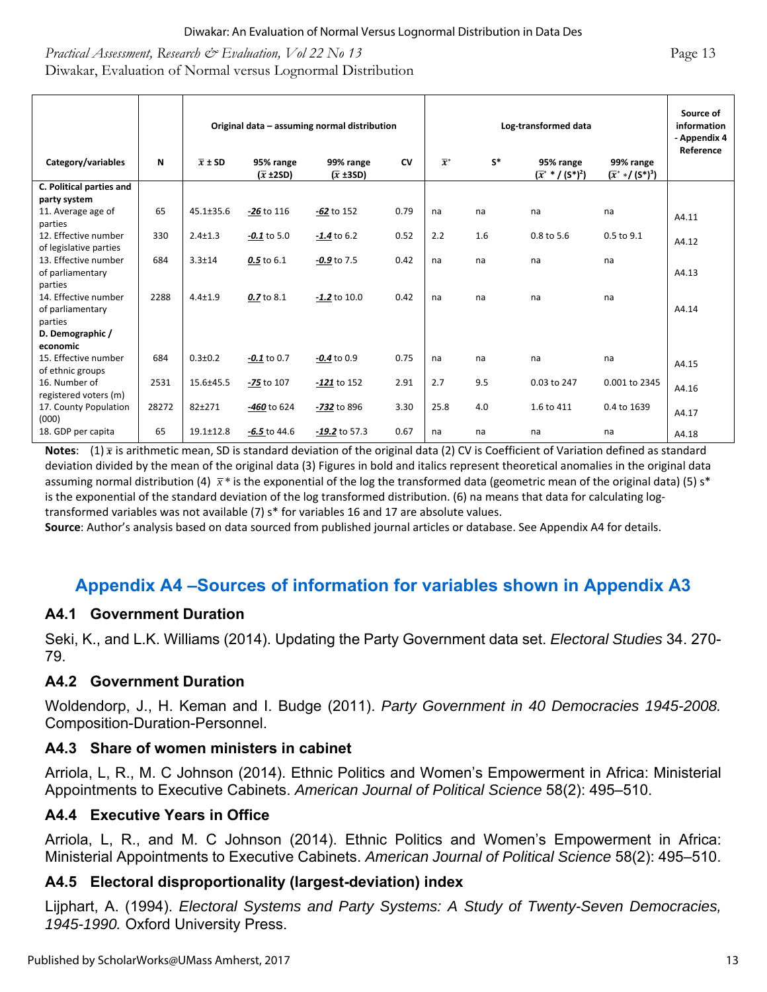#### *Practical Assessment, Research & Evaluation, Vol 22 No 13* **Page 13** Page 13 Diwakar, Evaluation of Normal versus Lognormal Distribution

|                                                     |       | Original data - assuming normal distribution |                                       |                                       |           | Log-transformed data |       |                                                   |                                     | Source of<br>information<br>- Appendix 4<br>Reference |
|-----------------------------------------------------|-------|----------------------------------------------|---------------------------------------|---------------------------------------|-----------|----------------------|-------|---------------------------------------------------|-------------------------------------|-------------------------------------------------------|
| Category/variables                                  | N     | $\overline{x}$ ± SD                          | 95% range<br>$(\overline{x} \pm 2SD)$ | 99% range<br>$(\overline{x} \pm 3SD)$ | <b>CV</b> | $\overline{x}^*$     | $S^*$ | 95% range<br>$(\bar{x}^*$ * / (S*) <sup>2</sup> ) | 99% range<br>$(\bar{x}^**/(S^*)^3)$ |                                                       |
| C. Political parties and<br>party system            |       |                                              |                                       |                                       |           |                      |       |                                                   |                                     |                                                       |
| 11. Average age of<br>parties                       | 65    | $45.1 \pm 35.6$                              | $-26$ to 116                          | $-62$ to 152                          | 0.79      | na                   | na    | na                                                | na                                  | A4.11                                                 |
| 12. Effective number<br>of legislative parties      | 330   | $2.4 \pm 1.3$                                | $-0.1$ to 5.0                         | $-1.4$ to 6.2                         | 0.52      | 2.2                  | 1.6   | 0.8 to 5.6                                        | 0.5 to 9.1                          | A4.12                                                 |
| 13. Effective number<br>of parliamentary<br>parties | 684   | $3.3 \pm 14$                                 | 0.5 to 6.1                            | $-0.9$ to 7.5                         | 0.42      | na                   | na    | na                                                | na                                  | A4.13                                                 |
| 14. Effective number<br>of parliamentary<br>parties | 2288  | $4.4 \pm 1.9$                                | 0.7 to 8.1                            | $-1.2$ to 10.0                        | 0.42      | na                   | na    | na                                                | na                                  | A4.14                                                 |
| D. Demographic /<br>economic                        |       |                                              |                                       |                                       |           |                      |       |                                                   |                                     |                                                       |
| 15. Effective number<br>of ethnic groups            | 684   | $0.3 \pm 0.2$                                | $-0.1$ to 0.7                         | $-0.4$ to 0.9                         | 0.75      | na                   | na    | na                                                | na                                  | A4.15                                                 |
| 16. Number of<br>registered voters (m)              | 2531  | 15.6±45.5                                    | -75 to 107                            | $-121$ to 152                         | 2.91      | 2.7                  | 9.5   | 0.03 to 247                                       | 0.001 to 2345                       | A4.16                                                 |
| 17. County Population<br>(000)                      | 28272 | 82±271                                       | -460 to 624                           | -732 to 896                           | 3.30      | 25.8                 | 4.0   | 1.6 to 411                                        | 0.4 to 1639                         | A4.17                                                 |
| 18. GDP per capita                                  | 65    | $19.1 \pm 12.8$                              | $-6.5$ to 44.6                        | $-19.2$ to 57.3                       | 0.67      | na                   | na    | na                                                | na                                  | A4.18                                                 |

**Notes:**  $(1)$   $\bar{x}$  is arithmetic mean, SD is standard deviation of the original data (2) CV is Coefficient of Variation defined as standard deviation divided by the mean of the original data (3) Figures in bold and italics represent theoretical anomalies in the original data assuming normal distribution (4)  $\bar{x}^*$  is the exponential of the log the transformed data (geometric mean of the original data) (5) s<sup>\*</sup> is the exponential of the standard deviation of the log transformed distribution. (6) na means that data for calculating logtransformed variables was not available (7) s\* for variables 16 and 17 are absolute values.

**Source**: Author's analysis based on data sourced from published journal articles or database. See Appendix A4 for details.

## **Appendix A4 –Sources of information for variables shown in Appendix A3**

#### **A4.1 Government Duration**

Seki, K., and L.K. Williams (2014). Updating the Party Government data set. *Electoral Studies* 34. 270- 79.

#### **A4.2 Government Duration**

Woldendorp, J., H. Keman and I. Budge (2011). *Party Government in 40 Democracies 1945-2008.* Composition-Duration-Personnel.

#### **A4.3 Share of women ministers in cabinet**

Arriola, L, R., M. C Johnson (2014). Ethnic Politics and Women's Empowerment in Africa: Ministerial Appointments to Executive Cabinets. *American Journal of Political Science* 58(2): 495–510.

#### **A4.4 Executive Years in Office**

Arriola, L, R., and M. C Johnson (2014). Ethnic Politics and Women's Empowerment in Africa: Ministerial Appointments to Executive Cabinets. *American Journal of Political Science* 58(2): 495–510.

#### **A4.5 Electoral disproportionality (largest-deviation) index**

Lijphart, A. (1994). *Electoral Systems and Party Systems: A Study of Twenty-Seven Democracies, 1945-1990.* Oxford University Press.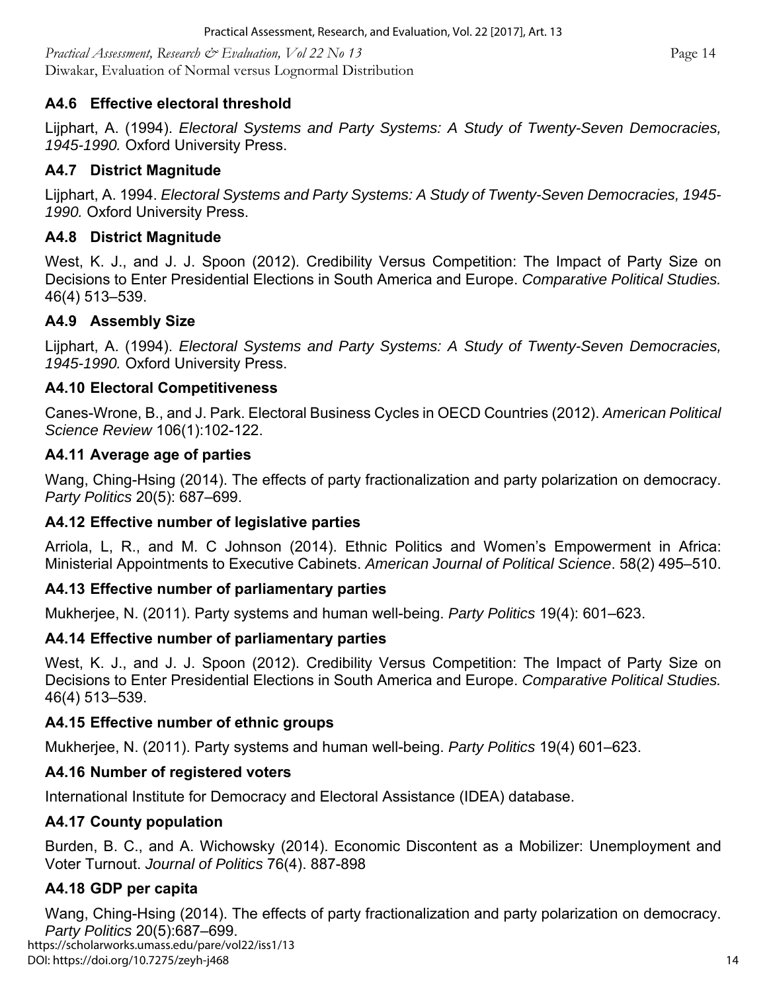*Practical Assessment, Research & Evaluation, Vol 22 No 13* **Page 14 Page 14 Page 14** Diwakar, Evaluation of Normal versus Lognormal Distribution

#### **A4.6 Effective electoral threshold**

Lijphart, A. (1994). *Electoral Systems and Party Systems: A Study of Twenty-Seven Democracies, 1945-1990.* Oxford University Press.

#### **A4.7 District Magnitude**

Lijphart, A. 1994. *Electoral Systems and Party Systems: A Study of Twenty-Seven Democracies, 1945- 1990.* Oxford University Press.

#### **A4.8 District Magnitude**

West, K. J., and J. J. Spoon (2012). Credibility Versus Competition: The Impact of Party Size on Decisions to Enter Presidential Elections in South America and Europe. *Comparative Political Studies.*  46(4) 513–539.

#### **A4.9 Assembly Size**

Lijphart, A. (1994). *Electoral Systems and Party Systems: A Study of Twenty-Seven Democracies, 1945-1990.* Oxford University Press.

#### **A4.10 Electoral Competitiveness**

Canes-Wrone, B., and J. Park. Electoral Business Cycles in OECD Countries (2012). *American Political Science Review* 106(1):102-122.

#### **A4.11 Average age of parties**

Wang, Ching-Hsing (2014). The effects of party fractionalization and party polarization on democracy. *Party Politics* 20(5): 687–699.

#### **A4.12 Effective number of legislative parties**

Arriola, L, R., and M. C Johnson (2014). Ethnic Politics and Women's Empowerment in Africa: Ministerial Appointments to Executive Cabinets. *American Journal of Political Science*. 58(2) 495–510.

#### **A4.13 Effective number of parliamentary parties**

Mukherjee, N. (2011). Party systems and human well-being. *Party Politics* 19(4): 601–623.

#### **A4.14 Effective number of parliamentary parties**

West, K. J., and J. J. Spoon (2012). Credibility Versus Competition: The Impact of Party Size on Decisions to Enter Presidential Elections in South America and Europe. *Comparative Political Studies.*  46(4) 513–539.

#### **A4.15 Effective number of ethnic groups**

Mukherjee, N. (2011). Party systems and human well-being. *Party Politics* 19(4) 601–623.

#### **A4.16 Number of registered voters**

International Institute for Democracy and Electoral Assistance (IDEA) database.

#### **A4.17 County population**

Burden, B. C., and A. Wichowsky (2014). Economic Discontent as a Mobilizer: Unemployment and Voter Turnout. *Journal of Politics* 76(4). 887-898

#### **A4.18 GDP per capita**

Wang, Ching-Hsing (2014). The effects of party fractionalization and party polarization on democracy. *Party Politics* 20(5):687–699. 14 https://scholarworks.umass.edu/pare/vol22/iss1/13 DOI: https://doi.org/10.7275/zeyh-j468